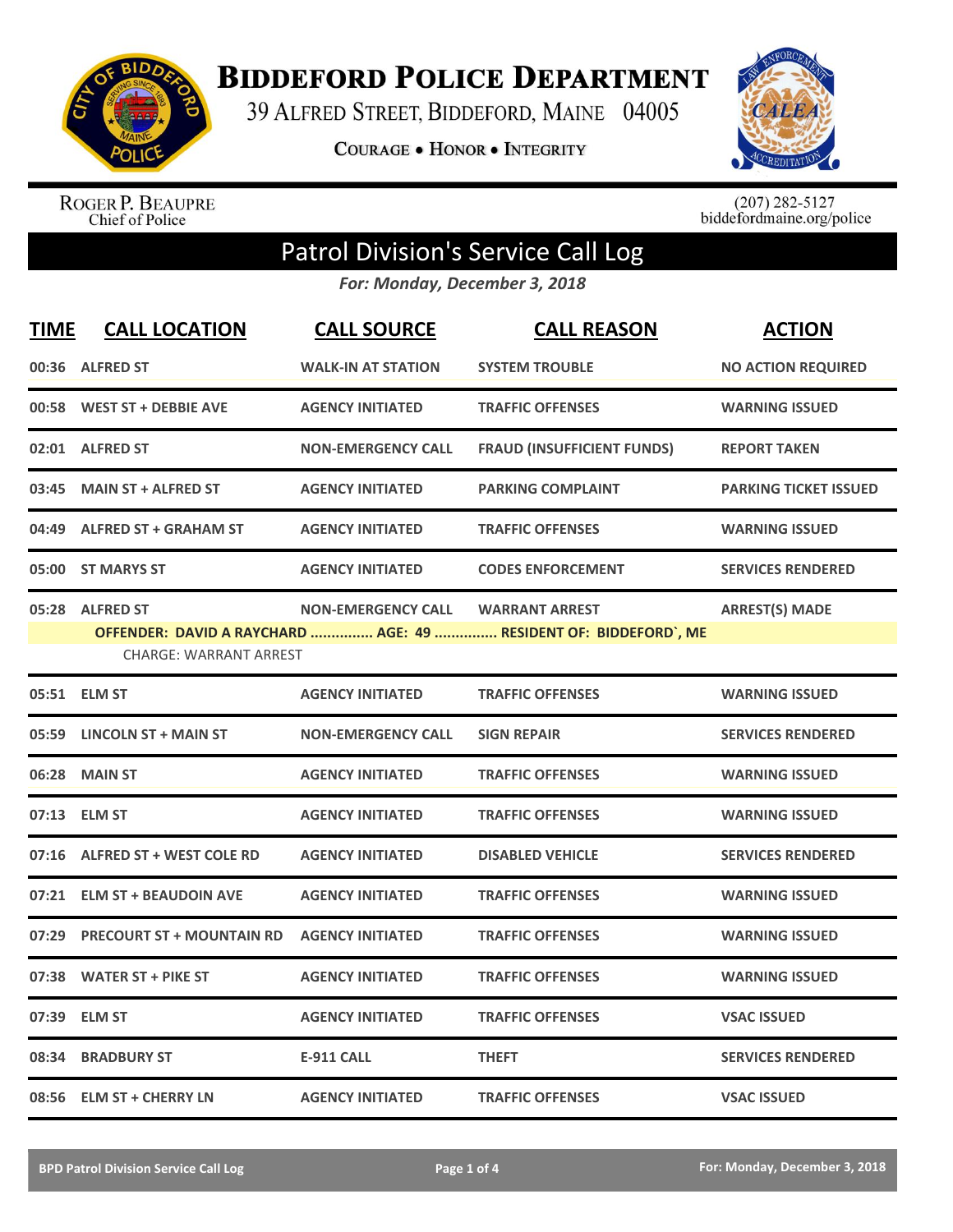

**BIDDEFORD POLICE DEPARTMENT** 

39 ALFRED STREET, BIDDEFORD, MAINE 04005

**COURAGE . HONOR . INTEGRITY** 



ROGER P. BEAUPRE<br>Chief of Police

 $(207)$  282-5127<br>biddefordmaine.org/police

## Patrol Division's Service Call Log

*For: Monday, December 3, 2018*

| <b>TIME</b> | <b>CALL LOCATION</b>                             | <b>CALL SOURCE</b>        | <b>CALL REASON</b>                                                                        | <b>ACTION</b>                |
|-------------|--------------------------------------------------|---------------------------|-------------------------------------------------------------------------------------------|------------------------------|
|             | 00:36 ALFRED ST                                  | <b>WALK-IN AT STATION</b> | <b>SYSTEM TROUBLE</b>                                                                     | <b>NO ACTION REQUIRED</b>    |
|             | 00:58 WEST ST + DEBBIE AVE                       | <b>AGENCY INITIATED</b>   | <b>TRAFFIC OFFENSES</b>                                                                   | <b>WARNING ISSUED</b>        |
|             | 02:01 ALFRED ST                                  | <b>NON-EMERGENCY CALL</b> | <b>FRAUD (INSUFFICIENT FUNDS)</b>                                                         | <b>REPORT TAKEN</b>          |
| 03:45       | <b>MAIN ST + ALFRED ST</b>                       | <b>AGENCY INITIATED</b>   | <b>PARKING COMPLAINT</b>                                                                  | <b>PARKING TICKET ISSUED</b> |
| 04:49       | <b>ALFRED ST + GRAHAM ST</b>                     | <b>AGENCY INITIATED</b>   | <b>TRAFFIC OFFENSES</b>                                                                   | <b>WARNING ISSUED</b>        |
|             | 05:00 ST MARYS ST                                | <b>AGENCY INITIATED</b>   | <b>CODES ENFORCEMENT</b>                                                                  | <b>SERVICES RENDERED</b>     |
|             | 05:28 ALFRED ST<br><b>CHARGE: WARRANT ARREST</b> | <b>NON-EMERGENCY CALL</b> | <b>WARRANT ARREST</b><br>OFFENDER: DAVID A RAYCHARD  AGE: 49  RESIDENT OF: BIDDEFORD`, ME | <b>ARREST(S) MADE</b>        |
|             | 05:51 ELM ST                                     | <b>AGENCY INITIATED</b>   | <b>TRAFFIC OFFENSES</b>                                                                   | <b>WARNING ISSUED</b>        |
|             | 05:59 LINCOLN ST + MAIN ST                       | <b>NON-EMERGENCY CALL</b> | <b>SIGN REPAIR</b>                                                                        | <b>SERVICES RENDERED</b>     |
| 06:28       | <b>MAIN ST</b>                                   | <b>AGENCY INITIATED</b>   | <b>TRAFFIC OFFENSES</b>                                                                   | <b>WARNING ISSUED</b>        |
|             | 07:13 ELM ST                                     | <b>AGENCY INITIATED</b>   | <b>TRAFFIC OFFENSES</b>                                                                   | <b>WARNING ISSUED</b>        |
|             | 07:16 ALFRED ST + WEST COLE RD                   | <b>AGENCY INITIATED</b>   | <b>DISABLED VEHICLE</b>                                                                   | <b>SERVICES RENDERED</b>     |
|             | 07:21 ELM ST + BEAUDOIN AVE                      | <b>AGENCY INITIATED</b>   | <b>TRAFFIC OFFENSES</b>                                                                   | <b>WARNING ISSUED</b>        |
| 07:29       | <b>PRECOURT ST + MOUNTAIN RD</b>                 | <b>AGENCY INITIATED</b>   | <b>TRAFFIC OFFENSES</b>                                                                   | <b>WARNING ISSUED</b>        |
| 07:38       | <b>WATER ST + PIKE ST</b>                        | <b>AGENCY INITIATED</b>   | <b>TRAFFIC OFFENSES</b>                                                                   | <b>WARNING ISSUED</b>        |
| 07:39       | <b>ELM ST</b>                                    | <b>AGENCY INITIATED</b>   | <b>TRAFFIC OFFENSES</b>                                                                   | <b>VSAC ISSUED</b>           |
| 08:34       | <b>BRADBURY ST</b>                               | <b>E-911 CALL</b>         | <b>THEFT</b>                                                                              | <b>SERVICES RENDERED</b>     |
|             | 08:56 ELM ST + CHERRY LN                         | <b>AGENCY INITIATED</b>   | <b>TRAFFIC OFFENSES</b>                                                                   | <b>VSAC ISSUED</b>           |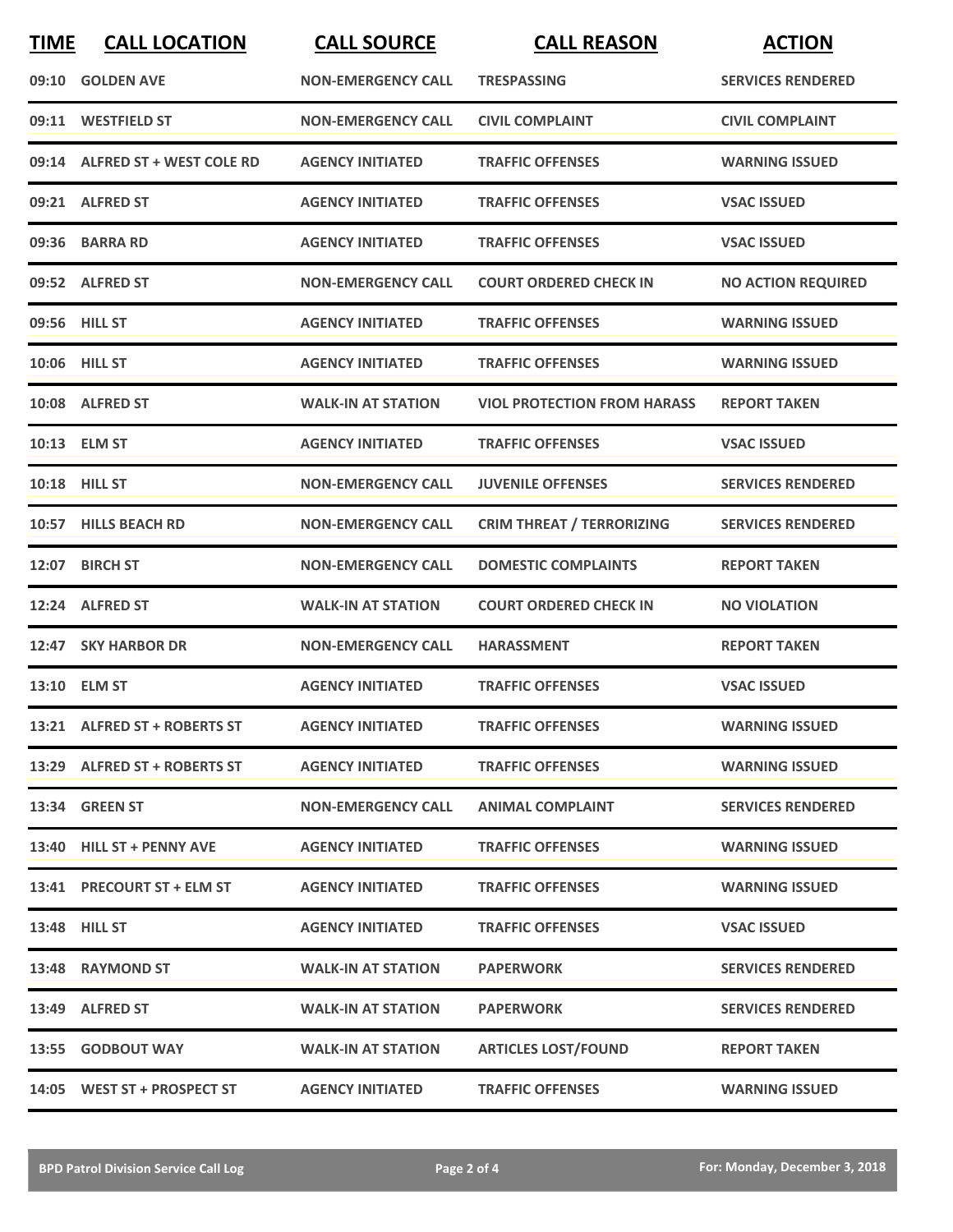| <b>TIME</b> | <b>CALL LOCATION</b>           | <b>CALL SOURCE</b>        | <b>CALL REASON</b>                 | <b>ACTION</b>             |
|-------------|--------------------------------|---------------------------|------------------------------------|---------------------------|
|             | 09:10 GOLDEN AVE               | <b>NON-EMERGENCY CALL</b> | <b>TRESPASSING</b>                 | <b>SERVICES RENDERED</b>  |
|             | 09:11 WESTFIELD ST             | <b>NON-EMERGENCY CALL</b> | <b>CIVIL COMPLAINT</b>             | <b>CIVIL COMPLAINT</b>    |
|             | 09:14 ALFRED ST + WEST COLE RD | <b>AGENCY INITIATED</b>   | <b>TRAFFIC OFFENSES</b>            | <b>WARNING ISSUED</b>     |
|             | 09:21 ALFRED ST                | <b>AGENCY INITIATED</b>   | <b>TRAFFIC OFFENSES</b>            | <b>VSAC ISSUED</b>        |
|             | 09:36 BARRA RD                 | <b>AGENCY INITIATED</b>   | <b>TRAFFIC OFFENSES</b>            | <b>VSAC ISSUED</b>        |
|             | 09:52 ALFRED ST                | <b>NON-EMERGENCY CALL</b> | <b>COURT ORDERED CHECK IN</b>      | <b>NO ACTION REQUIRED</b> |
|             | 09:56 HILL ST                  | <b>AGENCY INITIATED</b>   | <b>TRAFFIC OFFENSES</b>            | <b>WARNING ISSUED</b>     |
|             | 10:06 HILL ST                  | <b>AGENCY INITIATED</b>   | <b>TRAFFIC OFFENSES</b>            | <b>WARNING ISSUED</b>     |
|             | 10:08 ALFRED ST                | <b>WALK-IN AT STATION</b> | <b>VIOL PROTECTION FROM HARASS</b> | <b>REPORT TAKEN</b>       |
|             | 10:13 ELM ST                   | <b>AGENCY INITIATED</b>   | <b>TRAFFIC OFFENSES</b>            | <b>VSAC ISSUED</b>        |
|             | 10:18 HILL ST                  | <b>NON-EMERGENCY CALL</b> | <b>JUVENILE OFFENSES</b>           | <b>SERVICES RENDERED</b>  |
|             | 10:57 HILLS BEACH RD           | <b>NON-EMERGENCY CALL</b> | <b>CRIM THREAT / TERRORIZING</b>   | <b>SERVICES RENDERED</b>  |
|             | 12:07 BIRCH ST                 | <b>NON-EMERGENCY CALL</b> | <b>DOMESTIC COMPLAINTS</b>         | <b>REPORT TAKEN</b>       |
| 12:24       | <b>ALFRED ST</b>               | <b>WALK-IN AT STATION</b> | <b>COURT ORDERED CHECK IN</b>      | <b>NO VIOLATION</b>       |
|             | 12:47 SKY HARBOR DR            | <b>NON-EMERGENCY CALL</b> | <b>HARASSMENT</b>                  | <b>REPORT TAKEN</b>       |
|             | 13:10 ELM ST                   | <b>AGENCY INITIATED</b>   | <b>TRAFFIC OFFENSES</b>            | <b>VSAC ISSUED</b>        |
|             | 13:21 ALFRED ST + ROBERTS ST   | <b>AGENCY INITIATED</b>   | <b>TRAFFIC OFFENSES</b>            | <b>WARNING ISSUED</b>     |
|             | 13:29 ALFRED ST + ROBERTS ST   | <b>AGENCY INITIATED</b>   | <b>TRAFFIC OFFENSES</b>            | <b>WARNING ISSUED</b>     |
|             | 13:34 GREEN ST                 | <b>NON-EMERGENCY CALL</b> | <b>ANIMAL COMPLAINT</b>            | <b>SERVICES RENDERED</b>  |
|             | 13:40 HILL ST + PENNY AVE      | <b>AGENCY INITIATED</b>   | <b>TRAFFIC OFFENSES</b>            | <b>WARNING ISSUED</b>     |
|             | 13:41 PRECOURT ST + ELM ST     | <b>AGENCY INITIATED</b>   | <b>TRAFFIC OFFENSES</b>            | <b>WARNING ISSUED</b>     |
|             | <b>13:48 HILL ST</b>           | <b>AGENCY INITIATED</b>   | <b>TRAFFIC OFFENSES</b>            | <b>VSAC ISSUED</b>        |
|             | 13:48 RAYMOND ST               | <b>WALK-IN AT STATION</b> | <b>PAPERWORK</b>                   | <b>SERVICES RENDERED</b>  |
|             | 13:49 ALFRED ST                | <b>WALK-IN AT STATION</b> | <b>PAPERWORK</b>                   | <b>SERVICES RENDERED</b>  |
|             | 13:55 GODBOUT WAY              | <b>WALK-IN AT STATION</b> | <b>ARTICLES LOST/FOUND</b>         | <b>REPORT TAKEN</b>       |
|             | 14:05 WEST ST + PROSPECT ST    | <b>AGENCY INITIATED</b>   | <b>TRAFFIC OFFENSES</b>            | <b>WARNING ISSUED</b>     |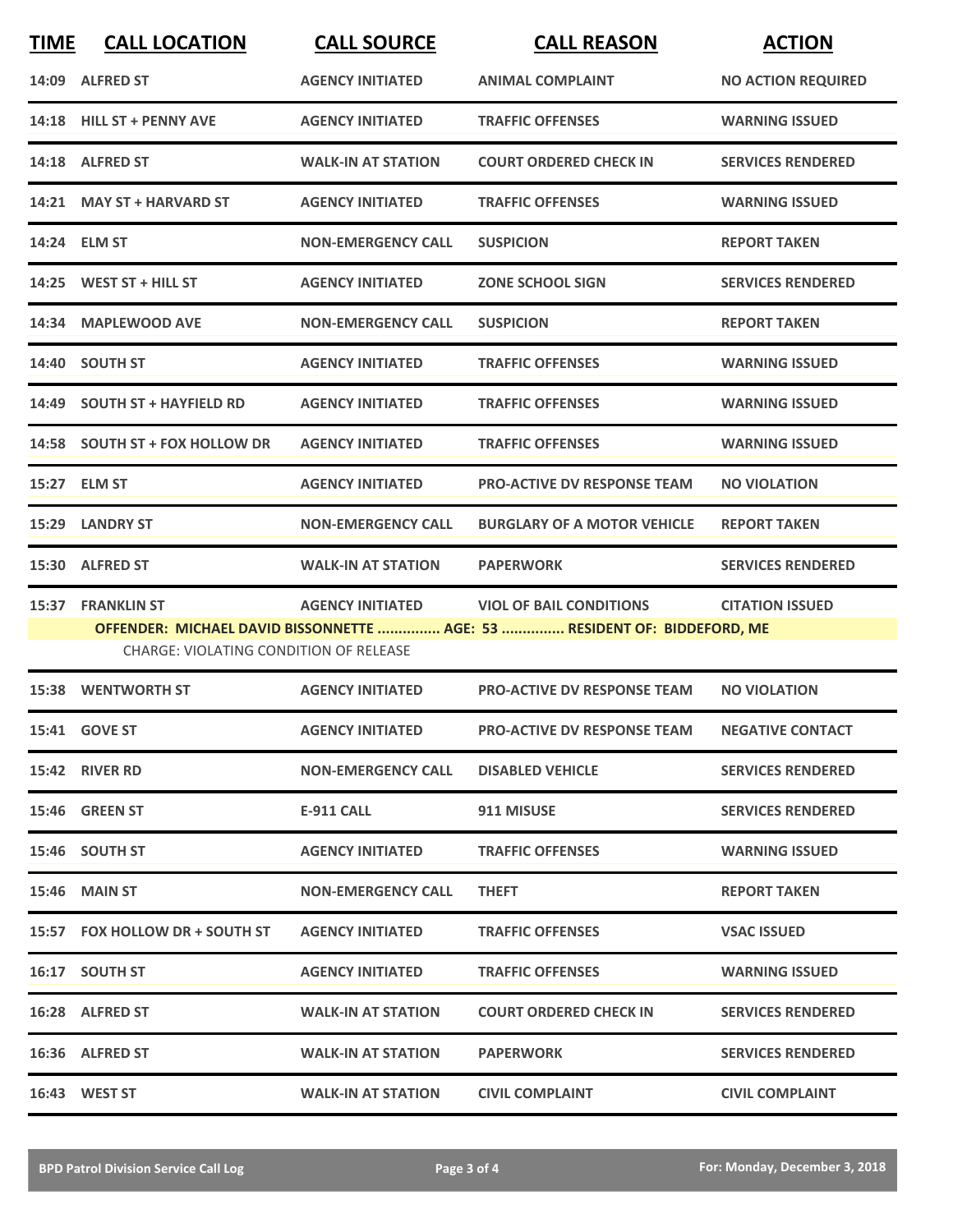| <b>TIME</b> | <b>CALL LOCATION</b>                   | <b>CALL SOURCE</b>        | <b>CALL REASON</b>                                                       | <b>ACTION</b>             |
|-------------|----------------------------------------|---------------------------|--------------------------------------------------------------------------|---------------------------|
|             | 14:09 ALFRED ST                        | <b>AGENCY INITIATED</b>   | <b>ANIMAL COMPLAINT</b>                                                  | <b>NO ACTION REQUIRED</b> |
|             | 14:18 HILL ST + PENNY AVE              | <b>AGENCY INITIATED</b>   | <b>TRAFFIC OFFENSES</b>                                                  | <b>WARNING ISSUED</b>     |
|             | 14:18 ALFRED ST                        | <b>WALK-IN AT STATION</b> | <b>COURT ORDERED CHECK IN</b>                                            | <b>SERVICES RENDERED</b>  |
|             | 14:21 MAY ST + HARVARD ST              | <b>AGENCY INITIATED</b>   | <b>TRAFFIC OFFENSES</b>                                                  | <b>WARNING ISSUED</b>     |
|             | 14:24 ELM ST                           | <b>NON-EMERGENCY CALL</b> | <b>SUSPICION</b>                                                         | <b>REPORT TAKEN</b>       |
|             | 14:25 WEST ST + HILL ST                | <b>AGENCY INITIATED</b>   | <b>ZONE SCHOOL SIGN</b>                                                  | <b>SERVICES RENDERED</b>  |
| 14:34       | <b>MAPLEWOOD AVE</b>                   | <b>NON-EMERGENCY CALL</b> | <b>SUSPICION</b>                                                         | <b>REPORT TAKEN</b>       |
|             | 14:40 SOUTH ST                         | <b>AGENCY INITIATED</b>   | <b>TRAFFIC OFFENSES</b>                                                  | <b>WARNING ISSUED</b>     |
|             | 14:49 SOUTH ST + HAYFIELD RD           | <b>AGENCY INITIATED</b>   | <b>TRAFFIC OFFENSES</b>                                                  | <b>WARNING ISSUED</b>     |
|             | 14:58 SOUTH ST + FOX HOLLOW DR         | <b>AGENCY INITIATED</b>   | <b>TRAFFIC OFFENSES</b>                                                  | <b>WARNING ISSUED</b>     |
|             | 15:27 ELM ST                           | <b>AGENCY INITIATED</b>   | <b>PRO-ACTIVE DV RESPONSE TEAM</b>                                       | <b>NO VIOLATION</b>       |
|             | 15:29 LANDRY ST                        | <b>NON-EMERGENCY CALL</b> | <b>BURGLARY OF A MOTOR VEHICLE</b>                                       | <b>REPORT TAKEN</b>       |
|             | 15:30 ALFRED ST                        | <b>WALK-IN AT STATION</b> | <b>PAPERWORK</b>                                                         | <b>SERVICES RENDERED</b>  |
|             | 15:37 FRANKLIN ST                      | <b>AGENCY INITIATED</b>   | <b>VIOL OF BAIL CONDITIONS</b>                                           | <b>CITATION ISSUED</b>    |
|             | CHARGE: VIOLATING CONDITION OF RELEASE |                           | OFFENDER: MICHAEL DAVID BISSONNETTE  AGE: 53  RESIDENT OF: BIDDEFORD, ME |                           |
|             | <b>15:38 WENTWORTH ST</b>              | <b>AGENCY INITIATED</b>   | <b>PRO-ACTIVE DV RESPONSE TEAM</b>                                       | <b>NO VIOLATION</b>       |
|             | 15:41 GOVE ST                          | <b>AGENCY INITIATED</b>   | <b>PRO-ACTIVE DV RESPONSE TEAM</b>                                       | <b>NEGATIVE CONTACT</b>   |
|             | 15:42 RIVER RD                         | <b>NON-EMERGENCY CALL</b> | <b>DISABLED VEHICLE</b>                                                  | <b>SERVICES RENDERED</b>  |
|             | 15:46 GREEN ST                         | E-911 CALL                | 911 MISUSE                                                               | <b>SERVICES RENDERED</b>  |
|             | 15:46 SOUTH ST                         | <b>AGENCY INITIATED</b>   | <b>TRAFFIC OFFENSES</b>                                                  | <b>WARNING ISSUED</b>     |
|             | <b>15:46 MAIN ST</b>                   | <b>NON-EMERGENCY CALL</b> | <b>THEFT</b>                                                             | <b>REPORT TAKEN</b>       |
|             | 15:57 FOX HOLLOW DR + SOUTH ST         | <b>AGENCY INITIATED</b>   | <b>TRAFFIC OFFENSES</b>                                                  | <b>VSAC ISSUED</b>        |
|             | 16:17 SOUTH ST                         | <b>AGENCY INITIATED</b>   | <b>TRAFFIC OFFENSES</b>                                                  | <b>WARNING ISSUED</b>     |
|             | 16:28 ALFRED ST                        | <b>WALK-IN AT STATION</b> | <b>COURT ORDERED CHECK IN</b>                                            | <b>SERVICES RENDERED</b>  |
|             | 16:36 ALFRED ST                        | <b>WALK-IN AT STATION</b> | <b>PAPERWORK</b>                                                         | <b>SERVICES RENDERED</b>  |
|             | 16:43 WEST ST                          | <b>WALK-IN AT STATION</b> | <b>CIVIL COMPLAINT</b>                                                   | <b>CIVIL COMPLAINT</b>    |